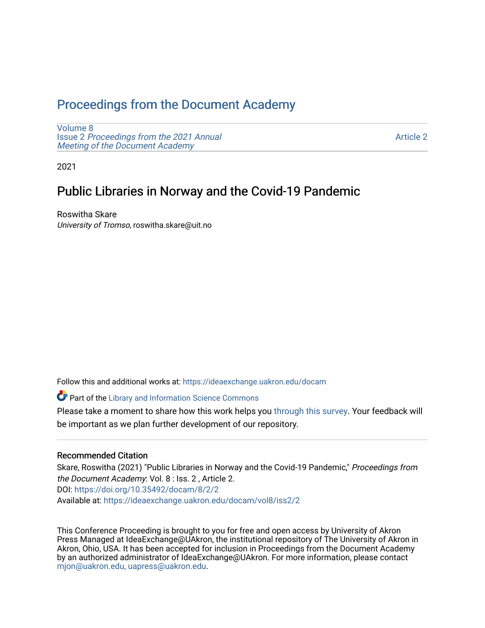# [Proceedings from the Document Academy](https://ideaexchange.uakron.edu/docam)

[Volume 8](https://ideaexchange.uakron.edu/docam/vol8) Issue 2 [Proceedings from the 2021 Annual](https://ideaexchange.uakron.edu/docam/vol8/iss2) [Meeting of the Document Academy](https://ideaexchange.uakron.edu/docam/vol8/iss2)

[Article 2](https://ideaexchange.uakron.edu/docam/vol8/iss2/2) 

2021

## Public Libraries in Norway and the Covid-19 Pandemic

Roswitha Skare University of Tromso, roswitha.skare@uit.no

Follow this and additional works at: [https://ideaexchange.uakron.edu/docam](https://ideaexchange.uakron.edu/docam?utm_source=ideaexchange.uakron.edu%2Fdocam%2Fvol8%2Fiss2%2F2&utm_medium=PDF&utm_campaign=PDFCoverPages) 

Part of the [Library and Information Science Commons](http://network.bepress.com/hgg/discipline/1018?utm_source=ideaexchange.uakron.edu%2Fdocam%2Fvol8%2Fiss2%2F2&utm_medium=PDF&utm_campaign=PDFCoverPages) 

Please take a moment to share how this work helps you [through this survey](http://survey.az1.qualtrics.com/SE/?SID=SV_eEVH54oiCbOw05f&URL=https://ideaexchange.uakron.edu/docam/vol8/iss2/2). Your feedback will be important as we plan further development of our repository.

#### Recommended Citation

Skare, Roswitha (2021) "Public Libraries in Norway and the Covid-19 Pandemic," Proceedings from the Document Academy: Vol. 8 : Iss. 2 , Article 2. DOI:<https://doi.org/10.35492/docam/8/2/2> Available at: [https://ideaexchange.uakron.edu/docam/vol8/iss2/2](https://ideaexchange.uakron.edu/docam/vol8/iss2/2?utm_source=ideaexchange.uakron.edu%2Fdocam%2Fvol8%2Fiss2%2F2&utm_medium=PDF&utm_campaign=PDFCoverPages) 

This Conference Proceeding is brought to you for free and open access by University of Akron Press Managed at IdeaExchange@UAkron, the institutional repository of The University of Akron in Akron, Ohio, USA. It has been accepted for inclusion in Proceedings from the Document Academy by an authorized administrator of IdeaExchange@UAkron. For more information, please contact [mjon@uakron.edu, uapress@uakron.edu](mailto:mjon@uakron.edu,%20uapress@uakron.edu).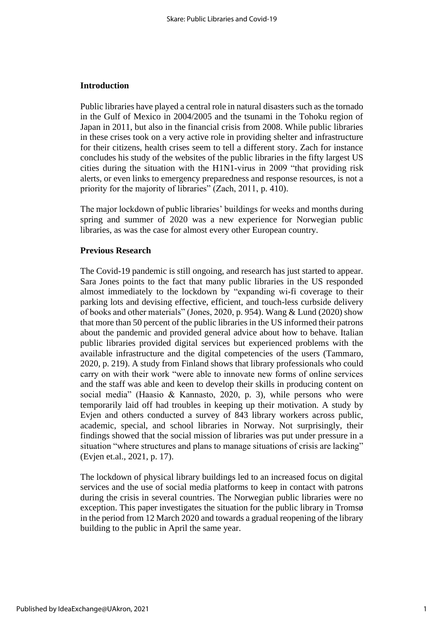#### **Introduction**

Public libraries have played a central role in natural disasters such as the tornado in the Gulf of Mexico in 2004/2005 and the tsunami in the Tohoku region of Japan in 2011, but also in the financial crisis from 2008. While public libraries in these crises took on a very active role in providing shelter and infrastructure for their citizens, health crises seem to tell a different story. Zach for instance concludes his study of the websites of the public libraries in the fifty largest US cities during the situation with the H1N1-virus in 2009 "that providing risk alerts, or even links to emergency preparedness and response resources, is not a priority for the majority of libraries" (Zach, 2011, p. 410).

The major lockdown of public libraries' buildings for weeks and months during spring and summer of 2020 was a new experience for Norwegian public libraries, as was the case for almost every other European country.

#### **Previous Research**

The Covid-19 pandemic is still ongoing, and research has just started to appear. Sara Jones points to the fact that many public libraries in the US responded almost immediately to the lockdown by "expanding wi-fi coverage to their parking lots and devising effective, efficient, and touch-less curbside delivery of books and other materials" (Jones, 2020, p. 954). Wang & Lund (2020) show that more than 50 percent of the public libraries in the US informed their patrons about the pandemic and provided general advice about how to behave. Italian public libraries provided digital services but experienced problems with the available infrastructure and the digital competencies of the users (Tammaro, 2020, p. 219). A study from Finland shows that library professionals who could carry on with their work "were able to innovate new forms of online services and the staff was able and keen to develop their skills in producing content on social media" (Haasio & Kannasto, 2020, p. 3), while persons who were temporarily laid off had troubles in keeping up their motivation. A study by Evjen and others conducted a survey of 843 library workers across public, academic, special, and school libraries in Norway. Not surprisingly, their findings showed that the social mission of libraries was put under pressure in a situation "where structures and plans to manage situations of crisis are lacking" (Evjen et.al., 2021, p. 17).

The lockdown of physical library buildings led to an increased focus on digital services and the use of social media platforms to keep in contact with patrons during the crisis in several countries. The Norwegian public libraries were no exception. This paper investigates the situation for the public library in Tromsø in the period from 12 March 2020 and towards a gradual reopening of the library building to the public in April the same year.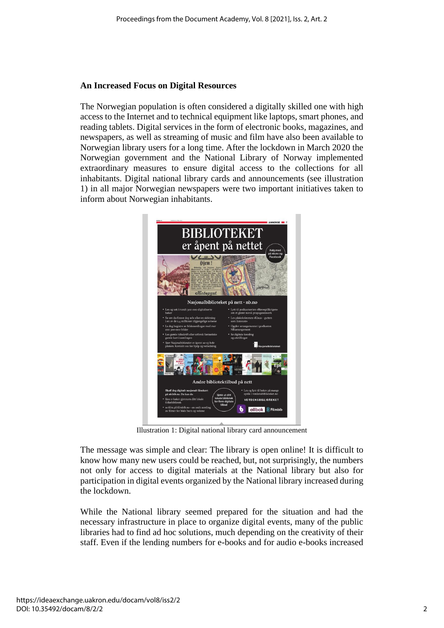## **An Increased Focus on Digital Resources**

The Norwegian population is often considered a digitally skilled one with high access to the Internet and to technical equipment like laptops, smart phones, and reading tablets. Digital services in the form of electronic books, magazines, and newspapers, as well as streaming of music and film have also been available to Norwegian library users for a long time. After the lockdown in March 2020 the Norwegian government and the National Library of Norway implemented extraordinary measures to ensure digital access to the collections for all inhabitants. Digital national library cards and announcements (see illustration 1) in all major Norwegian newspapers were two important initiatives taken to inform about Norwegian inhabitants.



Illustration 1: Digital national library card announcement

The message was simple and clear: The library is open online! It is difficult to know how many new users could be reached, but, not surprisingly, the numbers not only for access to digital materials at the National library but also for participation in digital events organized by the National library increased during the lockdown.

While the National library seemed prepared for the situation and had the necessary infrastructure in place to organize digital events, many of the public libraries had to find ad hoc solutions, much depending on the creativity of their staff. Even if the lending numbers for e-books and for audio e-books increased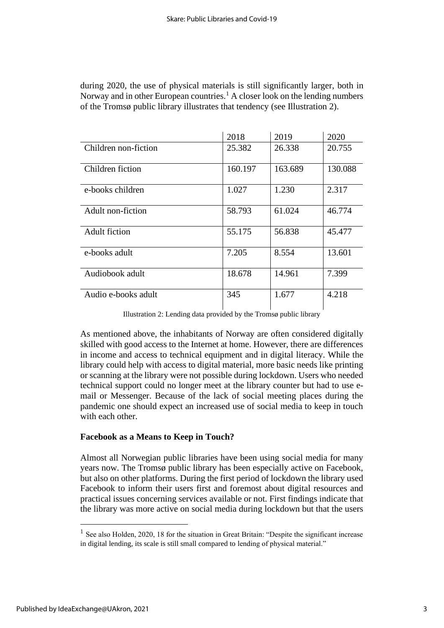| during 2020, the use of physical materials is still significantly larger, both in         |
|-------------------------------------------------------------------------------------------|
| Norway and in other European countries. <sup>1</sup> A closer look on the lending numbers |
| of the Tromsø public library illustrates that tendency (see Illustration 2).              |

|                      | 2018    | 2019    | 2020    |
|----------------------|---------|---------|---------|
| Children non-fiction | 25.382  | 26.338  | 20.755  |
| Children fiction     | 160.197 | 163.689 | 130.088 |
| e-books children     | 1.027   | 1.230   | 2.317   |
| Adult non-fiction    | 58.793  | 61.024  | 46.774  |
| <b>Adult fiction</b> | 55.175  | 56.838  | 45.477  |
| e-books adult        | 7.205   | 8.554   | 13.601  |
| Audiobook adult      | 18.678  | 14.961  | 7.399   |
| Audio e-books adult  | 345     | 1.677   | 4.218   |

Illustration 2: Lending data provided by the Tromsø public library

As mentioned above, the inhabitants of Norway are often considered digitally skilled with good access to the Internet at home. However, there are differences in income and access to technical equipment and in digital literacy. While the library could help with access to digital material, more basic needs like printing or scanning at the library were not possible during lockdown. Users who needed technical support could no longer meet at the library counter but had to use email or Messenger. Because of the lack of social meeting places during the pandemic one should expect an increased use of social media to keep in touch with each other.

#### **Facebook as a Means to Keep in Touch?**

Almost all Norwegian public libraries have been using social media for many years now. The Tromsø public library has been especially active on Facebook, but also on other platforms. During the first period of lockdown the library used Facebook to inform their users first and foremost about digital resources and practical issues concerning services available or not. First findings indicate that the library was more active on social media during lockdown but that the users

<sup>&</sup>lt;sup>1</sup> See also Holden, 2020, 18 for the situation in Great Britain: "Despite the significant increase in digital lending, its scale is still small compared to lending of physical material."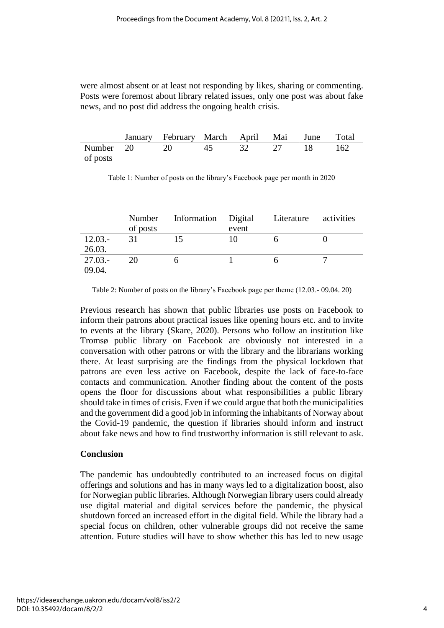were almost absent or at least not responding by likes, sharing or commenting. Posts were foremost about library related issues, only one post was about fake news, and no post did address the ongoing health crisis.

|          | January February March April Mai June Total |  |  |  |
|----------|---------------------------------------------|--|--|--|
|          | Number 20 20 45 32 27 18 162                |  |  |  |
| of posts |                                             |  |  |  |

Table 1: Number of posts on the library's Facebook page per month in 2020

|           | Number   | Information Digital Literature |       | activities |
|-----------|----------|--------------------------------|-------|------------|
|           | of posts |                                | event |            |
| $12.03 -$ | 31       | 15                             | 10    |            |
| 26.03.    |          |                                |       |            |
| $27.03 -$ | 20       | h                              |       |            |
| 09.04.    |          |                                |       |            |

Table 2: Number of posts on the library's Facebook page per theme (12.03.- 09.04. 20)

Previous research has shown that public libraries use posts on Facebook to inform their patrons about practical issues like opening hours etc. and to invite to events at the library (Skare, 2020). Persons who follow an institution like Tromsø public library on Facebook are obviously not interested in a conversation with other patrons or with the library and the librarians working there. At least surprising are the findings from the physical lockdown that patrons are even less active on Facebook, despite the lack of face-to-face contacts and communication. Another finding about the content of the posts opens the floor for discussions about what responsibilities a public library should take in times of crisis. Even if we could argue that both the municipalities and the government did a good job in informing the inhabitants of Norway about the Covid-19 pandemic, the question if libraries should inform and instruct about fake news and how to find trustworthy information is still relevant to ask.

## **Conclusion**

The pandemic has undoubtedly contributed to an increased focus on digital offerings and solutions and has in many ways led to a digitalization boost, also for Norwegian public libraries. Although Norwegian library users could already use digital material and digital services before the pandemic, the physical shutdown forced an increased effort in the digital field. While the library had a special focus on children, other vulnerable groups did not receive the same attention. Future studies will have to show whether this has led to new usage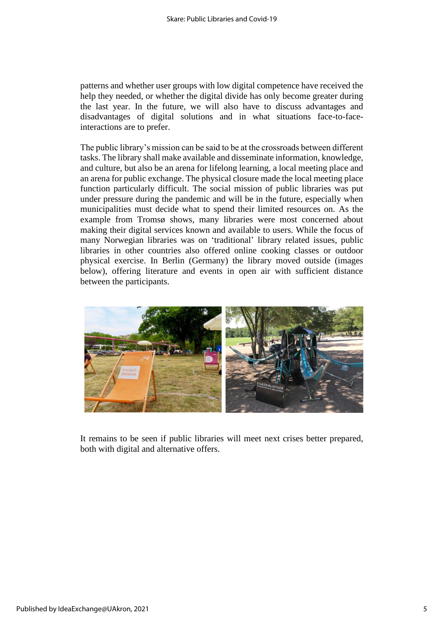patterns and whether user groups with low digital competence have received the help they needed, or whether the digital divide has only become greater during the last year. In the future, we will also have to discuss advantages and disadvantages of digital solutions and in what situations face-to-faceinteractions are to prefer.

The public library's mission can be said to be at the crossroads between different tasks. The library shall make available and disseminate information, knowledge, and culture, but also be an arena for lifelong learning, a local meeting place and an arena for public exchange. The physical closure made the local meeting place function particularly difficult. The social mission of public libraries was put under pressure during the pandemic and will be in the future, especially when municipalities must decide what to spend their limited resources on. As the example from Tromsø shows, many libraries were most concerned about making their digital services known and available to users. While the focus of many Norwegian libraries was on 'traditional' library related issues, public libraries in other countries also offered online cooking classes or outdoor physical exercise. In Berlin (Germany) the library moved outside (images below), offering literature and events in open air with sufficient distance between the participants.



It remains to be seen if public libraries will meet next crises better prepared, both with digital and alternative offers.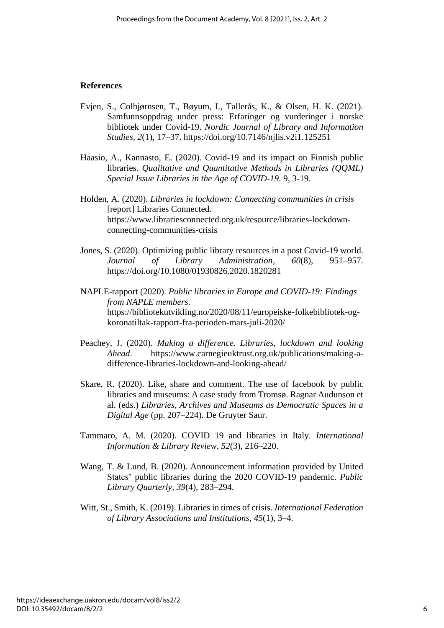#### **References**

- Evjen, S., Colbjørnsen, T., Bøyum, I., Tallerås, K., & Olsen, H. K. (2021). Samfunnsoppdrag under press: Erfaringer og vurderinger i norske bibliotek under Covid-19. *Nordic Journal of Library and Information Studies*, *2*(1), 17–37.<https://doi.org/10.7146/njlis.v2i1.125251>
- Haasio, A., Kannasto, E. (2020). Covid-19 and its impact on Finnish public libraries. *Qualitative and Quantitative Methods in Libraries (QQML) Special Issue Libraries in the Age of COVID-19*. 9, 3-19.
- Holden, A. (2020). *Libraries in lockdown: Connecting communities in crisis* [report] Libraries Connected. [https://www.librariesconnected.org.uk/resource/libraries-lockdown](https://www.librariesconnected.org.uk/resource/libraries-lockdown-connecting-communities-crisis)[connecting-communities-crisis](https://www.librariesconnected.org.uk/resource/libraries-lockdown-connecting-communities-crisis)
- Jones, S. (2020). Optimizing public library resources in a post Covid-19 world.<br>Journal of Library Administration, 60(8), 951–957. *Journal of Library Administration, 60(8),* <https://doi.org/10.1080/01930826.2020.1820281>
- NAPLE-rapport (2020). *Public libraries in Europe and COVID-19: Findings from NAPLE members*. [https://bibliotekutvikling.no/2020/08/11/europeiske-folkebibliotek-og](https://bibliotekutvikling.no/2020/08/11/europeiske-folkebibliotek-og-koronatiltak-rapport-fra-perioden-mars-juli-2020/)[koronatiltak-rapport-fra-perioden-mars-juli-2020/](https://bibliotekutvikling.no/2020/08/11/europeiske-folkebibliotek-og-koronatiltak-rapport-fra-perioden-mars-juli-2020/)
- Peachey, J. (2020). *Making a difference. Libraries, lockdown and looking Ahead*. [https://www.carnegieuktrust.org.uk/publications/making-a](https://www.carnegieuktrust.org.uk/publications/making-a-difference-libraries-lockdown-and-looking-ahead/)[difference-libraries-lockdown-and-looking-ahead/](https://www.carnegieuktrust.org.uk/publications/making-a-difference-libraries-lockdown-and-looking-ahead/)
- Skare, R. (2020). Like, share and comment. The use of facebook by public libraries and museums: A case study from Tromsø. Ragnar Audunson et al. (eds.) *Libraries, Archives and Museums as Democratic Spaces in a Digital Age* (pp. 207–224). De Gruyter Saur.
- Tammaro, A. M. (2020). COVID 19 and libraries in Italy. *International Information & Library Review, 52*(3), 216–220.
- Wang, T. & Lund, B. (2020). Announcement information provided by United States' public libraries during the 2020 COVID-19 pandemic. *Public Library Quarterly, 39*(4), 283–294.
- Witt, St., Smith, K. (2019). Libraries in times of crisis. *International Federation of Library Associations and Institutions, 45*(1), 3–4.